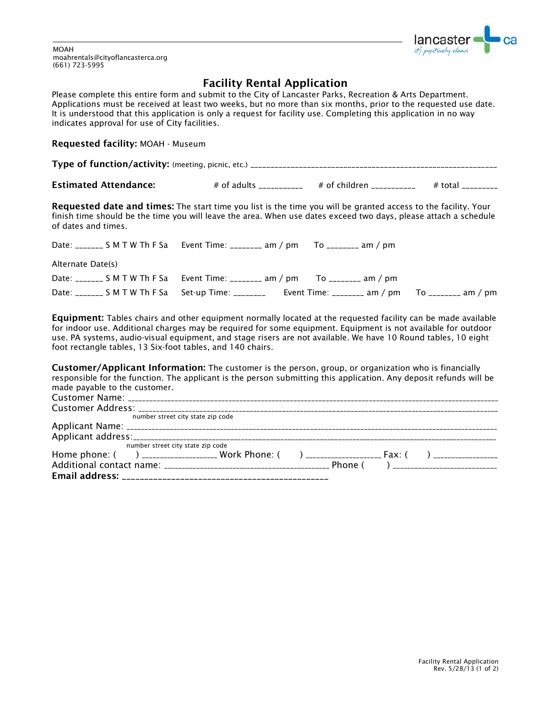

MOAH moahrentals@cityoflancasterca.org (661) 723-5995

## Facility Rental Application

Please complete this entire form and submit to the City of Lancaster Parks, Recreation & Arts Department. Applications must be received at least two weeks, but no more than six months, prior to the requested use date. It is understood that this application is only a request for facility use. Completing this application in no way indicates approval for use of City facilities.

## Requested facility: MOAH - Museum

Type of function/activity: (meeting, picnic, etc.) \_\_\_\_\_\_\_\_\_\_\_\_\_\_\_

**Estimated Attendance:**  $\qquad \qquad # \text{ of adults} \qquad \qquad # \text{ of children} \qquad \qquad # \text{ total} \qquad \qquad # \text{ total} \qquad \qquad # \text{ total} \qquad \qquad # \text{ total} \qquad \qquad # \text{ total} \qquad \qquad # \text{ total} \qquad \qquad # \text{ total} \qquad \qquad # \text{ total} \qquad \qquad # \text{ total} \qquad \qquad # \text{ total} \qquad \qquad # \text{ total} \qquad \qquad # \text{ total} \qquad \qquad # \text{ total} \qquad \qquad # \text{ total} \q$ 

Requested date and times: The start time you list is the time you will be granted access to the facility. Your finish time should be the time you will leave the area. When use dates exceed two days, please attach a schedule of dates and times.

|                   | Date: _______ S M T W Th F Sa Event Time: ________ am / pm To _______ am / pm                        |  |
|-------------------|------------------------------------------------------------------------------------------------------|--|
| Alternate Date(s) |                                                                                                      |  |
|                   | Date: _______ S M T W Th F Sa Event Time: ________ am / pm To ________ am / pm                       |  |
|                   | Date: _______ S M T W Th F Sa Set-up Time: ________ Event Time: ________ am / pm To ________ am / pm |  |

**Equipment:** Tables chairs and other equipment normally located at the requested facility can be made available for indoor use. Additional charges may be required for some equipment. Equipment is not available for outdoor use. PA systems, audio-visual equipment, and stage risers are not available. We have 10 Round tables, 10 eight foot rectangle tables, 13 Six-foot tables, and 140 chairs.

Customer/Applicant Information: The customer is the person, group, or organization who is financially responsible for the function. The applicant is the person submitting this application. Any deposit refunds will be made payable to the customer.

|                                   | number street city state zip code |  |  |  |
|-----------------------------------|-----------------------------------|--|--|--|
|                                   |                                   |  |  |  |
|                                   |                                   |  |  |  |
| number street city state zip code |                                   |  |  |  |
|                                   |                                   |  |  |  |
|                                   |                                   |  |  |  |
|                                   |                                   |  |  |  |